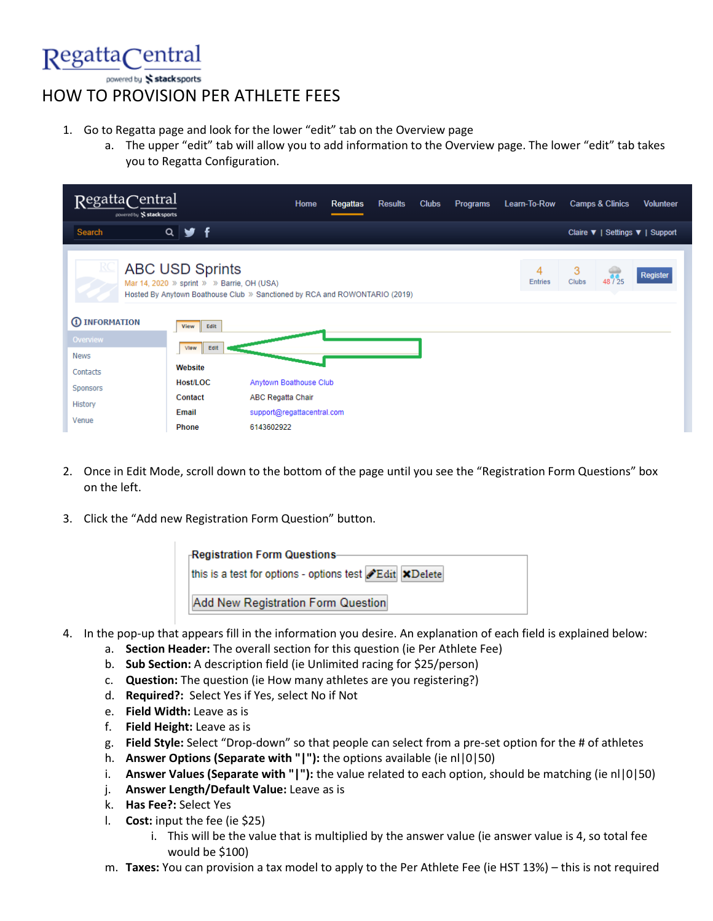

powered by stack sports

## HOW TO PROVISION PER ATHLETE FEES

- 1. Go to Regatta page and look for the lower "edit" tab on the Overview page
	- a. The upper "edit" tab will allow you to add information to the Overview page. The lower "edit" tab takes you to Regatta Configuration.

| RegattaCentral<br>powered by Stacksports |                                                                      | Home                                                                       | <b>Regattas</b> | <b>Results</b> | <b>Clubs</b> | <b>Programs</b> | Learn-To-Row        | <b>Camps &amp; Clinics</b>           | <b>Volunteer</b> |
|------------------------------------------|----------------------------------------------------------------------|----------------------------------------------------------------------------|-----------------|----------------|--------------|-----------------|---------------------|--------------------------------------|------------------|
| Search                                   | $Q \times f$                                                         |                                                                            |                 |                |              |                 |                     | Claire ▼   Settings ▼   Support      |                  |
| <u>RC</u>                                | <b>ABC USD Sprints</b><br>Mar 14, 2020 » sprint » » Barrie, OH (USA) | Hosted By Anytown Boathouse Club » Sanctioned by RCA and ROWONTARIO (2019) |                 |                |              |                 | 4<br><b>Entries</b> | 3<br>$48^{12}_{125}$<br><b>Clubs</b> | <b>Register</b>  |
| <b>1</b> INFORMATION                     | Edit<br><b>View</b>                                                  |                                                                            |                 |                |              |                 |                     |                                      |                  |
| Overview                                 | Edit<br>View                                                         |                                                                            |                 |                |              |                 |                     |                                      |                  |
| <b>News</b>                              |                                                                      |                                                                            |                 |                |              |                 |                     |                                      |                  |
| Contacts                                 | Website                                                              |                                                                            |                 |                |              |                 |                     |                                      |                  |
| Sponsors                                 | Host/LOC                                                             | Anytown Boathouse Club                                                     |                 |                |              |                 |                     |                                      |                  |
| History                                  | Contact                                                              | ABC Regatta Chair                                                          |                 |                |              |                 |                     |                                      |                  |
| Venue                                    | Email                                                                | support@regattacentral.com                                                 |                 |                |              |                 |                     |                                      |                  |
|                                          | <b>Phone</b>                                                         | 6143602922                                                                 |                 |                |              |                 |                     |                                      |                  |

- 2. Once in Edit Mode, scroll down to the bottom of the page until you see the "Registration Form Questions" box on the left.
- 3. Click the "Add new Registration Form Question" button.



- 4. In the pop-up that appears fill in the information you desire. An explanation of each field is explained below:
	- a. **Section Header:** The overall section for this question (ie Per Athlete Fee)
	- b. **Sub Section:** A description field (ie Unlimited racing for \$25/person)
	- c. **Question:** The question (ie How many athletes are you registering?)
	- d. **Required?:** Select Yes if Yes, select No if Not
	- e. **Field Width:** Leave as is
	- f. **Field Height:** Leave as is
	- g. **Field Style:** Select "Drop-down" so that people can select from a pre-set option for the # of athletes
	- h. **Answer Options (Separate with "|"):** the options available (ie nl|0|50)
	- i. **Answer Values (Separate with "|"):** the value related to each option, should be matching (ie nl|0|50)
	- j. **Answer Length/Default Value:** Leave as is
	- k. **Has Fee?:** Select Yes
	- l. **Cost:** input the fee (ie \$25)
		- i. This will be the value that is multiplied by the answer value (ie answer value is 4, so total fee would be \$100)
	- m. **Taxes:** You can provision a tax model to apply to the Per Athlete Fee (ie HST 13%) this is not required